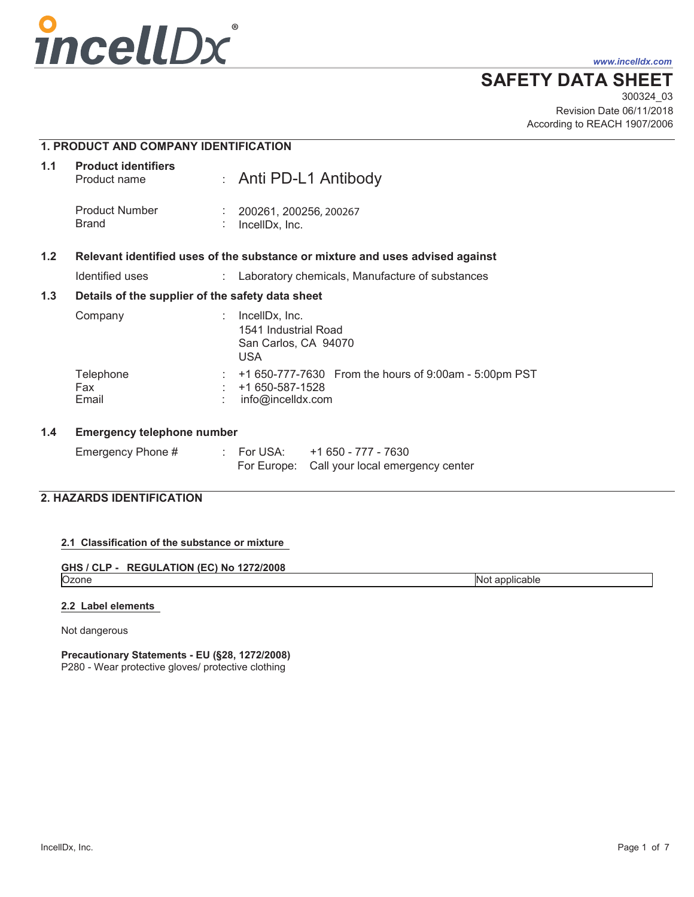

*www.incelldx.com*

## **SAFETY DATA SHEET**

Revision Date 06/11/2018 300324\_03 According to REACH 1907/2006

|     | <b>1. PRODUCT AND COMPANY IDENTIFICATION</b>     |  |                                                                                                      |
|-----|--------------------------------------------------|--|------------------------------------------------------------------------------------------------------|
| 1.1 | <b>Product identifiers</b><br>Product name       |  | : Anti PD-L1 Antibody                                                                                |
|     | <b>Product Number</b><br><b>Brand</b>            |  | 200261, 200256, 200267<br>IncellDx, Inc.                                                             |
| 1.2 |                                                  |  | Relevant identified uses of the substance or mixture and uses advised against                        |
|     | Identified uses                                  |  | Laboratory chemicals, Manufacture of substances                                                      |
| 1.3 | Details of the supplier of the safety data sheet |  |                                                                                                      |
|     | Company                                          |  | IncellDx, Inc.<br>1541 Industrial Road<br>San Carlos, CA 94070<br><b>USA</b>                         |
|     | Telephone<br>Fax<br>Email                        |  | $\div$ +1 650-777-7630 From the hours of 9:00am - 5:00pm PST<br>+1 650-587-1528<br>info@incelldx.com |
| 1.4 | <b>Emergency telephone number</b>                |  |                                                                                                      |
|     | Emergency Phone #                                |  | : For USA: +1 650 - 777 - 7630<br>For Europe: Call your local emergency center                       |

## **2. HAZARDS IDENTIFICATION**

## **2.1 Classification of the substance or mixture**

**GHS / CLP - REGULATION (EC) No 1272/2008**<br>Ozone

Not applicable

## **2.2 Label elements**

Not dangerous

# **Precautionary Statements - EU (§28, 1272/2008)**

P280 - Wear protective gloves/ protective clothing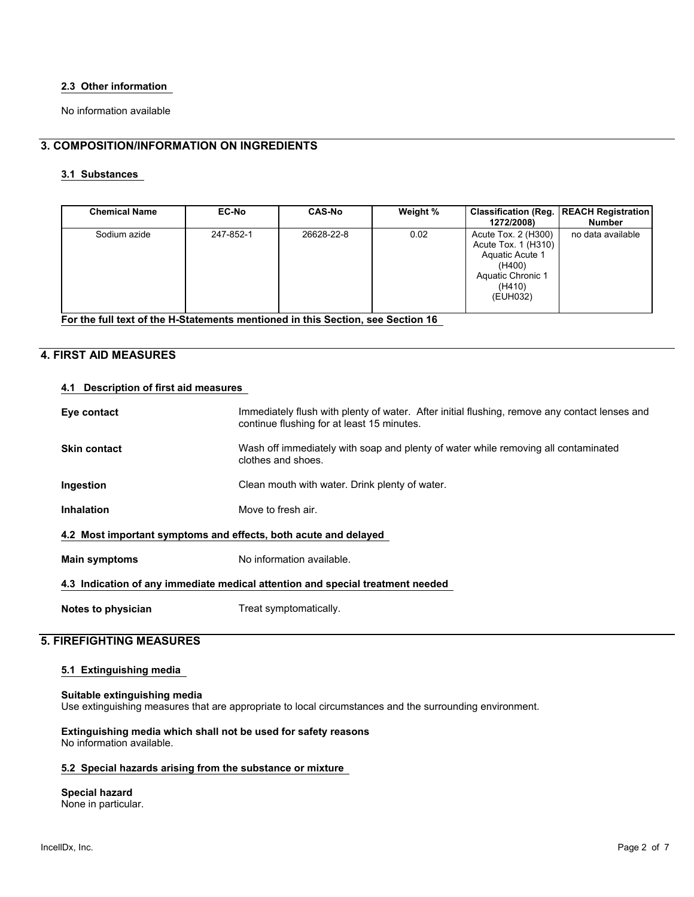#### **2.3 Other information**

No information available

## **3. COMPOSITION/INFORMATION ON INGREDIENTS**

## **3.1 Substances**

| <b>Chemical Name</b> | <b>EC-No</b> | <b>CAS-No</b> | Weight % | 1272/2008)                                                                                                         | Classification (Reg.   REACH Registration)<br><b>Number</b> |
|----------------------|--------------|---------------|----------|--------------------------------------------------------------------------------------------------------------------|-------------------------------------------------------------|
| Sodium azide         | 247-852-1    | 26628-22-8    | 0.02     | Acute Tox. 2 (H300)<br>Acute Tox. 1 (H310)<br>Aquatic Acute 1<br>(H400)<br>Aquatic Chronic 1<br>(H410)<br>(EUH032) | no data available                                           |

**For the full text of the H-Statements mentioned in this Section, see Section 16**

## **4. FIRST AID MEASURES**

#### **4.1 Description of first aid measures**

| Eye contact                                                                    | Immediately flush with plenty of water. After initial flushing, remove any contact lenses and<br>continue flushing for at least 15 minutes. |  |  |  |
|--------------------------------------------------------------------------------|---------------------------------------------------------------------------------------------------------------------------------------------|--|--|--|
| <b>Skin contact</b>                                                            | Wash off immediately with soap and plenty of water while removing all contaminated<br>clothes and shoes.                                    |  |  |  |
| Ingestion                                                                      | Clean mouth with water. Drink plenty of water.                                                                                              |  |  |  |
| <b>Inhalation</b>                                                              | Move to fresh air.                                                                                                                          |  |  |  |
| 4.2 Most important symptoms and effects, both acute and delayed                |                                                                                                                                             |  |  |  |
| <b>Main symptoms</b>                                                           | No information available.                                                                                                                   |  |  |  |
| 4.3 Indication of any immediate medical attention and special treatment needed |                                                                                                                                             |  |  |  |
| Notes to physician                                                             | Treat symptomatically.                                                                                                                      |  |  |  |

#### **5. FIREFIGHTING MEASURES**

#### **5.1 Extinguishing media**

#### **Suitable extinguishing media**

Use extinguishing measures that are appropriate to local circumstances and the surrounding environment.

**Extinguishing media which shall not be used for safety reasons** No information available.

#### **5.2 Special hazards arising from the substance or mixture**

#### **Special hazard**

None in particular.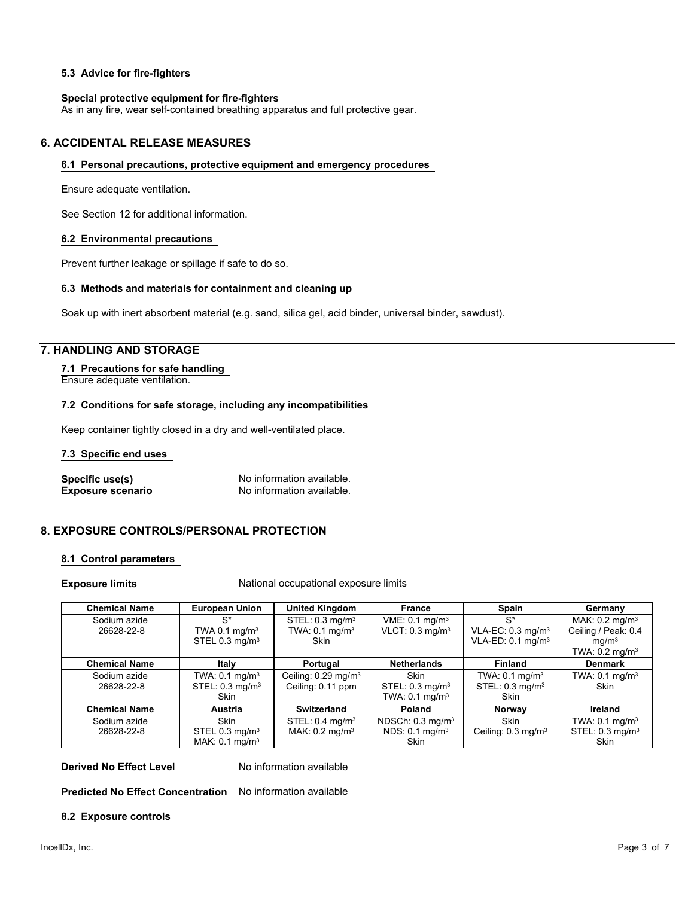#### **5.3 Advice for fire-fighters**

#### **Special protective equipment for fire-fighters**

As in any fire, wear self-contained breathing apparatus and full protective gear.

## **6. ACCIDENTAL RELEASE MEASURES**

#### **6.1 Personal precautions, protective equipment and emergency procedures**

Ensure adequate ventilation.

See Section 12 for additional information.

#### **6.2 Environmental precautions**

Prevent further leakage or spillage if safe to do so.

#### **6.3 Methods and materials for containment and cleaning up**

Soak up with inert absorbent material (e.g. sand, silica gel, acid binder, universal binder, sawdust).

#### **7. HANDLING AND STORAGE**

#### **7.1 Precautions for safe handling**

Ensure adequate ventilation.

#### **7.2 Conditions for safe storage, including any incompatibilities**

Keep container tightly closed in a dry and well-ventilated place.

#### **7.3 Specific end uses**

**Specific use(s)** No information available.<br> **Exposure scenario** No information available. **Exposure scenario** No information available.

## **8. EXPOSURE CONTROLS/PERSONAL PROTECTION**

#### **8.1 Control parameters**

**Exposure limits** National occupational exposure limits

| <b>Chemical Name</b> | <b>European Union</b>        | <b>United Kingdom</b>             | <b>France</b>                 | Spain                           | Germany                      |
|----------------------|------------------------------|-----------------------------------|-------------------------------|---------------------------------|------------------------------|
| Sodium azide         | $S^*$                        | STEL: 0.3 mg/m <sup>3</sup>       | VME: 0.1 mg/m <sup>3</sup>    | $S^*$                           | MAK: $0.2$ mg/m <sup>3</sup> |
| 26628-22-8           | TWA 0.1 $mq/m3$              | TWA: $0.1$ mg/m <sup>3</sup>      | VLCT: $0.3$ mg/m <sup>3</sup> | VLA-EC: $0.3$ mg/m <sup>3</sup> | Ceiling / Peak: 0.4          |
|                      | STEL 0.3 mg/m <sup>3</sup>   | <b>Skin</b>                       |                               | $VLA-ED: 0.1$ mg/m <sup>3</sup> | ma/m <sup>3</sup>            |
|                      |                              |                                   |                               |                                 | TWA: $0.2 \text{ mg/m}^3$    |
| <b>Chemical Name</b> | Italy                        | Portugal                          | <b>Netherlands</b>            | <b>Finland</b>                  | <b>Denmark</b>               |
| Sodium azide         | TWA: $0.1$ mg/m <sup>3</sup> | Ceiling: $0.29$ mg/m <sup>3</sup> | Skin                          | TWA: $0.1$ mg/m <sup>3</sup>    | TWA: $0.1 \text{ mg/m}^3$    |
| 26628-22-8           | STEL: 0.3 mg/m <sup>3</sup>  | Ceiling: 0.11 ppm                 | STEL: 0.3 mg/m <sup>3</sup>   | STEL: 0.3 mg/m <sup>3</sup>     | <b>Skin</b>                  |
|                      | <b>Skin</b>                  |                                   | TWA: $0.1 \text{ mg/m}^3$     | <b>Skin</b>                     |                              |
| <b>Chemical Name</b> | <b>Austria</b>               | Switzerland                       | Poland                        | Norway                          | Ireland                      |
| Sodium azide         | <b>Skin</b>                  | STEL: $0.4 \text{ mg/m}^3$        | NDSCh: $0.3 \text{ mg/m}^3$   | <b>Skin</b>                     | TWA: $0.1 \text{ mg/m}^3$    |
| 26628-22-8           | STEL 0.3 mg/m <sup>3</sup>   | MAK: $0.2$ mg/m <sup>3</sup>      | NDS: $0.1$ mg/m <sup>3</sup>  | Ceiling: $0.3 \text{ mg/m}^3$   | STEL: 0.3 mg/m <sup>3</sup>  |
|                      | MAK: $0.1$ mg/m <sup>3</sup> |                                   | <b>Skin</b>                   |                                 | <b>Skin</b>                  |

**Derived No Effect Level** No information available

**Predicted No Effect Concentration** No information available

#### **8.2 Exposure controls**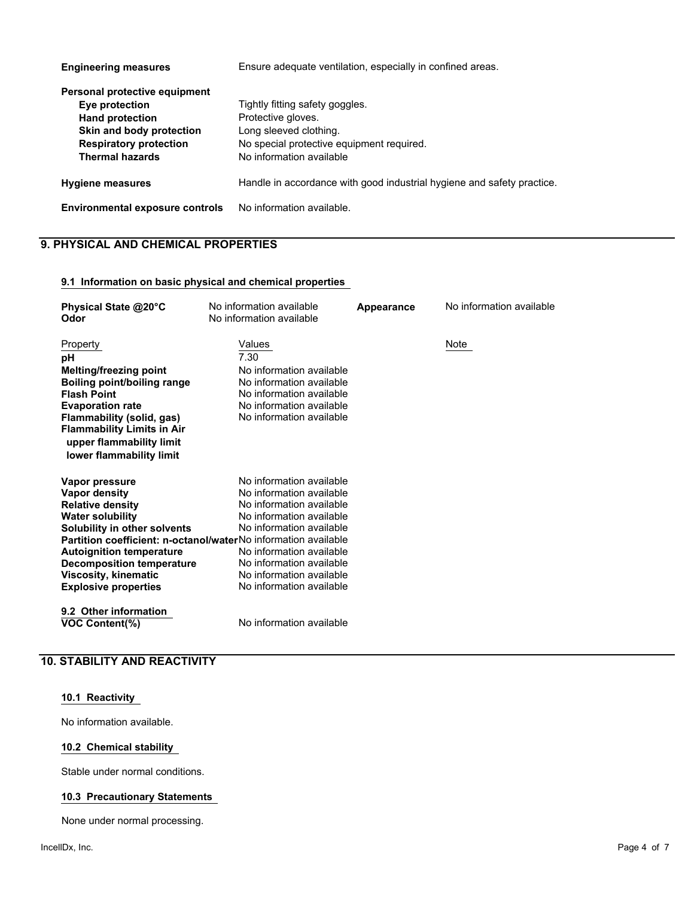| <b>Engineering measures</b>                                                                                                                                      | Ensure adequate ventilation, especially in confined areas.                                                                                               |  |  |
|------------------------------------------------------------------------------------------------------------------------------------------------------------------|----------------------------------------------------------------------------------------------------------------------------------------------------------|--|--|
| Personal protective equipment<br>Eye protection<br><b>Hand protection</b><br>Skin and body protection<br><b>Respiratory protection</b><br><b>Thermal hazards</b> | Tightly fitting safety goggles.<br>Protective gloves.<br>Long sleeved clothing.<br>No special protective equipment required.<br>No information available |  |  |
| <b>Hygiene measures</b>                                                                                                                                          | Handle in accordance with good industrial hygiene and safety practice.                                                                                   |  |  |
| <b>Environmental exposure controls</b>                                                                                                                           | No information available.                                                                                                                                |  |  |

## **9. PHYSICAL AND CHEMICAL PROPERTIES**

#### **9.1 Information on basic physical and chemical properties**

| Physical State @20°C                                                  | No information available | Appearance | No information available |
|-----------------------------------------------------------------------|--------------------------|------------|--------------------------|
| Odor                                                                  | No information available |            |                          |
|                                                                       |                          |            |                          |
| Property                                                              | Values                   |            | Note                     |
| рH                                                                    | 7.30                     |            |                          |
| <b>Melting/freezing point</b>                                         | No information available |            |                          |
| Boiling point/boiling range                                           | No information available |            |                          |
| <b>Flash Point</b>                                                    | No information available |            |                          |
| <b>Evaporation rate</b>                                               | No information available |            |                          |
| Flammability (solid, gas)                                             | No information available |            |                          |
| <b>Flammability Limits in Air</b>                                     |                          |            |                          |
| upper flammability limit                                              |                          |            |                          |
| lower flammability limit                                              |                          |            |                          |
|                                                                       |                          |            |                          |
| Vapor pressure                                                        | No information available |            |                          |
| <b>Vapor density</b>                                                  | No information available |            |                          |
| <b>Relative density</b>                                               | No information available |            |                          |
| <b>Water solubility</b>                                               | No information available |            |                          |
| Solubility in other solvents                                          | No information available |            |                          |
| <b>Partition coefficient: n-octanol/waterNo information available</b> |                          |            |                          |
| <b>Autoignition temperature</b>                                       | No information available |            |                          |
| <b>Decomposition temperature</b>                                      | No information available |            |                          |
| <b>Viscosity, kinematic</b>                                           | No information available |            |                          |
| <b>Explosive properties</b>                                           | No information available |            |                          |
|                                                                       |                          |            |                          |
| 9.2 Other information                                                 |                          |            |                          |
| <b>VOC Content(%)</b>                                                 | No information available |            |                          |
|                                                                       |                          |            |                          |

## **10. STABILITY AND REACTIVITY**

#### **10.1 Reactivity**

No information available.

#### **10.2 Chemical stability**

Stable under normal conditions.

#### **10.3 Precautionary Statements**

None under normal processing.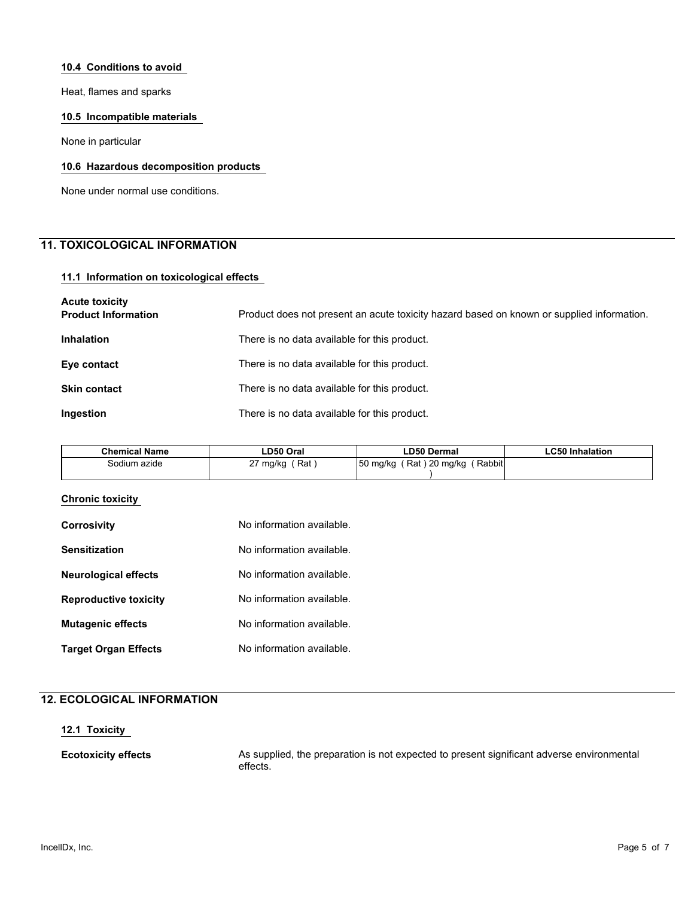#### **10.4 Conditions to avoid**

Heat, flames and sparks

#### **10.5 Incompatible materials**

None in particular

#### **10.6 Hazardous decomposition products**

None under normal use conditions.

## **11. TOXICOLOGICAL INFORMATION**

#### **11.1 Information on toxicological effects**

| <b>Acute toxicity</b><br><b>Product Information</b> | Product does not present an acute toxicity hazard based on known or supplied information. |
|-----------------------------------------------------|-------------------------------------------------------------------------------------------|
| <b>Inhalation</b>                                   | There is no data available for this product.                                              |
| Eye contact                                         | There is no data available for this product.                                              |
| <b>Skin contact</b>                                 | There is no data available for this product.                                              |
| Ingestion                                           | There is no data available for this product.                                              |

| ∟D50 Oral            | <b>LD50 Dermal</b>                   | <b>LC50 Inhalation</b> |
|----------------------|--------------------------------------|------------------------|
| ົ<br>Rat<br>27 mg/kg | Rabbiti<br>50 mg/kg<br>Rat) 20 mg/kg |                        |
|                      |                                      |                        |

#### **Chronic toxicity**

| <b>Corrosivity</b>           | No information available. |
|------------------------------|---------------------------|
| <b>Sensitization</b>         | No information available. |
| <b>Neurological effects</b>  | No information available. |
| <b>Reproductive toxicity</b> | No information available. |
| <b>Mutagenic effects</b>     | No information available. |
| <b>Target Organ Effects</b>  | No information available. |

## **12. ECOLOGICAL INFORMATION**

#### **12.1 Toxicity**

**Ecotoxicity effects** As supplied, the preparation is not expected to present significant adverse environmental effects.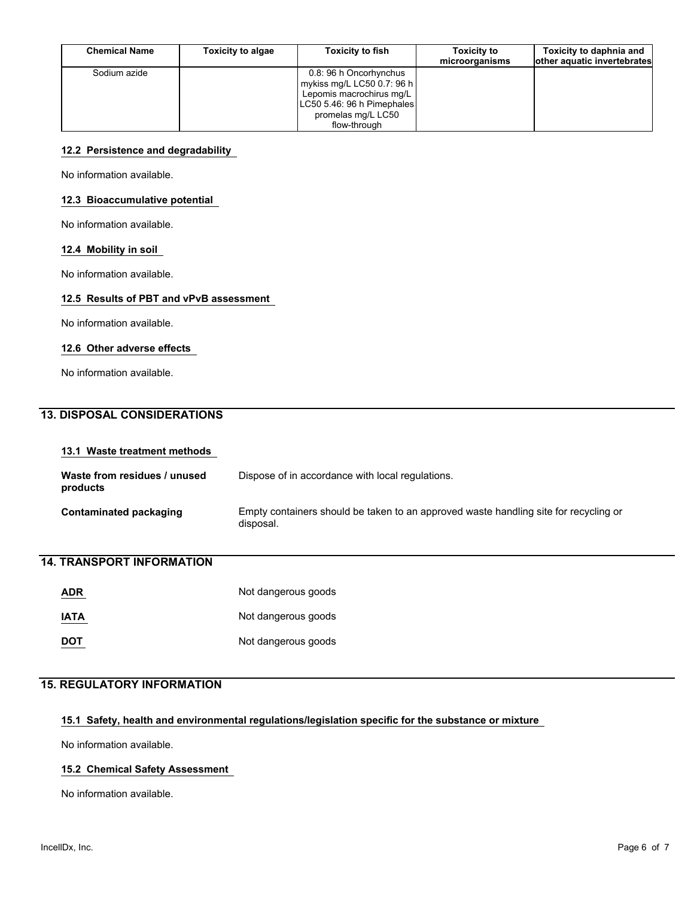| <b>Chemical Name</b> | <b>Toxicity to algae</b> | <b>Toxicity to fish</b>                                                                                                                                  | <b>Toxicity to</b><br>microorganisms | Toxicity to daphnia and<br>other aquatic invertebrates |
|----------------------|--------------------------|----------------------------------------------------------------------------------------------------------------------------------------------------------|--------------------------------------|--------------------------------------------------------|
| Sodium azide         |                          | 0.8: 96 h Oncorhynchus<br>  mykiss mg/L LC50 0.7: 96 h  <br>Lepomis macrochirus mg/L<br>LC50 5.46: 96 h Pimephales<br>promelas mg/L LC50<br>flow-through |                                      |                                                        |

#### **12.2 Persistence and degradability**

No information available.

#### **12.3 Bioaccumulative potential**

No information available.

#### **12.4 Mobility in soil**

No information available.

#### **12.5 Results of PBT and vPvB assessment**

No information available.

#### **12.6 Other adverse effects**

No information available.

## **13. DISPOSAL CONSIDERATIONS**

#### **13.1 Waste treatment methods**

| Waste from residues / unused<br>products | Dispose of in accordance with local regulations.                                                  |
|------------------------------------------|---------------------------------------------------------------------------------------------------|
| Contaminated packaging                   | Empty containers should be taken to an approved waste handling site for recycling or<br>disposal. |

## **14. TRANSPORT INFORMATION**

| <b>ADR</b>  | Not dangerous goods |
|-------------|---------------------|
| <b>IATA</b> | Not dangerous goods |
| <b>DOT</b>  | Not dangerous goods |

#### **15. REGULATORY INFORMATION**

#### **15.1 Safety, health and environmental regulations/legislation specific for the substance or mixture**

No information available.

#### **15.2 Chemical Safety Assessment**

No information available.